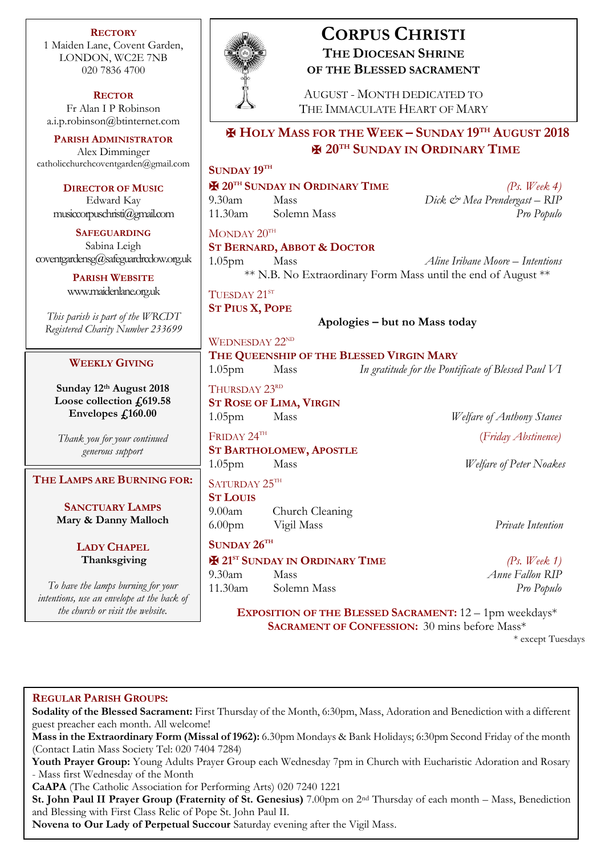**RECTORY** 1 Maiden Lane, Covent Garden, LONDON, WC2E 7NB 020 7836 4700

**RECTOR** Fr Alan I P Robinson [a.i.p.robinson@btinternet.com](mailto:a.i.p.robinson@btinternet.com)

**PARISH ADMINISTRATOR** Alex Dimminger [catholicchurchcoventgarden@gmail.com](mailto:catholicchurchcoventgarden@gmail.com)

**DIRECTOR OF MUSIC** Edward Kay musiccorpuschristi@gmail.com

**SAFEGUARDING** Sabina Leigh [coventgardensg@safeguardrcdow.org.uk](mailto:coventgardensg@safeguardrcdow.org.uk)

> **PARISH WEBSITE** [www.maidenlane.org.uk](http://www.maidenlane.org.uk/)

*This parish is part of the WRCDT Registered Charity Number 233699*

## **WEEKLY GIVING**

**Sunday 12th August 2018 Loose collection £619.58 Envelopes £160.00**

*Thank you for your continued generous support*

**THE LAMPS ARE BURNING FOR:**

**SANCTUARY LAMPS Mary & Danny Malloch**

> **LADY CHAPEL Thanksgiving**

*To have the lamps burning for your intentions, use an envelope at the back of* 



# **CORPUS CHRISTI THE DIOCESAN SHRINE OF THE BLESSED SACRAMENT**

AUGUST - MONTH DEDICATED TO THE IMMACULATE HEART OF MARY

# ✠ **HOLY MASS FOR THE WEEK – SUNDAY 19TH AUGUST 2018** ✠ **20TH SUNDAY IN ORDINARY TIME**

## **SUNDAY 19TH**

| <b>EX</b> 20 <sup>TH</sup> SUNDAY IN ORDINARY TIME |             | (Ps. Week 4)                 |
|----------------------------------------------------|-------------|------------------------------|
| 9.30am                                             | Mass        | Dick & Mea Prendergast – RIP |
| 11.30am                                            | Solemn Mass | Pro Populo                   |

 $MONDAY 20<sup>TH</sup>$ 

**ST BERNARD, ABBOT & DOCTOR**

1.05pm Mass *Aline Iribane Moore – Intentions* \*\* N.B. No Extraordinary Form Mass until the end of August \*\*

TUESDAY 21<sup>ST</sup> **ST PIUS X, POPE**

WEDNESDAY 22<sup>ND</sup>

**Apologies – but no Mass today**

## **THE QUEENSHIP OF THE BLESSED VIRGIN MARY**

1.05pm Mass *In gratitude for the Pontificate of Blessed Paul VI*

THURSDAY 23RD **ST ROSE OF LIMA, VIRGIN**

FRIDAY 24TH **ST BARTHOLOMEW, APOSTLE**

SATURDAY 25TH

**ST LOUIS**

9.00am Church Cleaning 6.00pm Vigil Mass *Private Intention*

**SUNDAY 26TH**

✠ **21ST SUNDAY IN ORDINARY TIME** *(Ps. Week 1)* 9.30am Mass *Anne Fallon RIP* 11.30am Solemn Mass *Pro Populo*

1.05pm Mass *Welfare of Anthony Stanes* (*Friday Abstinence)*

1.05pm Mass *Welfare of Peter Noakes*

**EXPOSITION OF THE BLESSED SACRAMENT:**  $12 - 1$ pm weekdays\* **SACRAMENT OF CONFESSION:** 30 mins before Mass\*

\* except Tuesdays

## **REGULAR PARISH GROUPS:**

**Sodality of the Blessed Sacrament:** First Thursday of the Month, 6:30pm, Mass, Adoration and Benediction with a different guest preacher each month. All welcome!

**Mass in the Extraordinary Form (Missal of 1962):** 6.30pm Mondays & Bank Holidays; 6:30pm Second Friday of the month (Contact Latin Mass Society Tel: 020 7404 7284)

**Youth Prayer Group:** Young Adults Prayer Group each Wednesday 7pm in Church with Eucharistic Adoration and Rosary - Mass first Wednesday of the Month

**CaAPA** (The Catholic Association for Performing Arts) 020 7240 1221

**St. John Paul II Prayer Group (Fraternity of St. Genesius)** 7.00pm on 2nd Thursday of each month – Mass, Benediction and Blessing with First Class Relic of Pope St. John Paul II.

**Novena to Our Lady of Perpetual Succour** Saturday evening after the Vigil Mass.